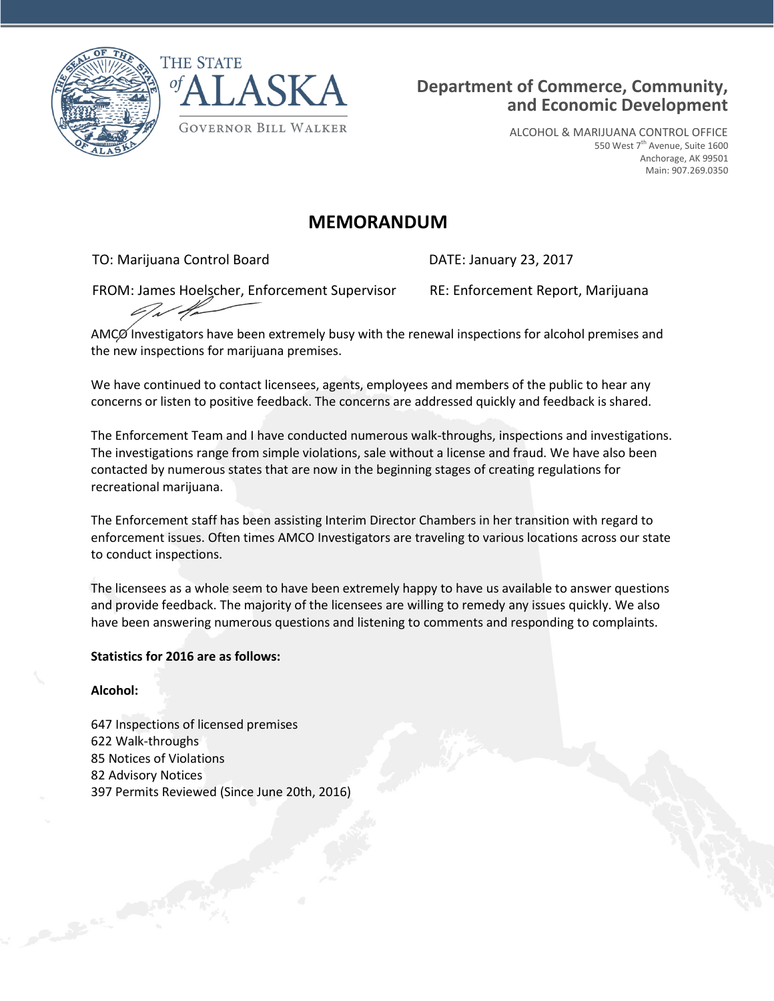



ALCOHOL & MARIJUANA CONTROL OFFICE 550 West 7<sup>th</sup> Avenue, Suite 1600 Anchorage, AK 99501 Main: 907.269.0350

# **MEMORANDUM**

TO: Marijuana Control Board DATE: January 23, 2017

FROM: James Hoelscher, Enforcement Supervisor RE: Enforcement Report, Marijuana

AMCØ Investigators have been extremely busy with the renewal inspections for alcohol premises and the new inspections for marijuana premises.

We have continued to contact licensees, agents, employees and members of the public to hear any concerns or listen to positive feedback. The concerns are addressed quickly and feedback is shared.

The Enforcement Team and I have conducted numerous walk-throughs, inspections and investigations. The investigations range from simple violations, sale without a license and fraud. We have also been contacted by numerous states that are now in the beginning stages of creating regulations for recreational marijuana.

The Enforcement staff has been assisting Interim Director Chambers in her transition with regard to enforcement issues. Often times AMCO Investigators are traveling to various locations across our state to conduct inspections.

The licensees as a whole seem to have been extremely happy to have us available to answer questions and provide feedback. The majority of the licensees are willing to remedy any issues quickly. We also have been answering numerous questions and listening to comments and responding to complaints.

## **Statistics for 2016 are as follows:**

## **Alcohol:**

 Inspections of licensed premises Walk-throughs Notices of Violations Advisory Notices Permits Reviewed (Since June 20th, 2016)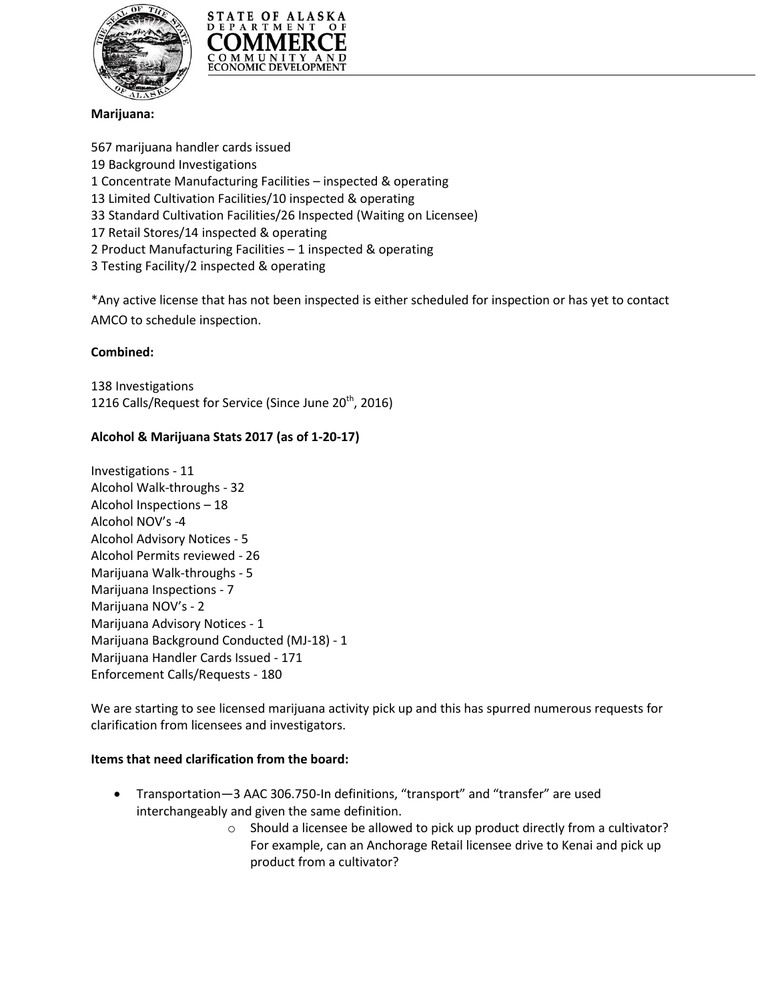



## **Marijuana:**

 marijuana handler cards issued Background Investigations 1 Concentrate Manufacturing Facilities – inspected & operating Limited Cultivation Facilities/10 inspected & operating Standard Cultivation Facilities/26 Inspected (Waiting on Licensee) 17 Retail Stores/14 inspected & operating 2 Product Manufacturing Facilities – 1 inspected & operating Testing Facility/2 inspected & operating

\*Any active license that has not been inspected is either scheduled for inspection or has yet to contact AMCO to schedule inspection.

### **Combined:**

138 Investigations 1216 Calls/Request for Service (Since June 20<sup>th</sup>, 2016)

### **Alcohol & Marijuana Stats 2017 (as of 1-20-17)**

Investigations - 11 Alcohol Walk-throughs - 32 Alcohol Inspections – 18 Alcohol NOV's -4 Alcohol Advisory Notices - 5 Alcohol Permits reviewed - 26 Marijuana Walk-throughs - 5 Marijuana Inspections - 7 Marijuana NOV's - 2 Marijuana Advisory Notices - 1 Marijuana Background Conducted (MJ-18) - 1 Marijuana Handler Cards Issued - 171 Enforcement Calls/Requests - 180

We are starting to see licensed marijuana activity pick up and this has spurred numerous requests for clarification from licensees and investigators.

#### **Items that need clarification from the board:**

- Transportation—3 AAC 306.750-In definitions, "transport" and "transfer" are used interchangeably and given the same definition.
	- o Should a licensee be allowed to pick up product directly from a cultivator? For example, can an Anchorage Retail licensee drive to Kenai and pick up product from a cultivator?